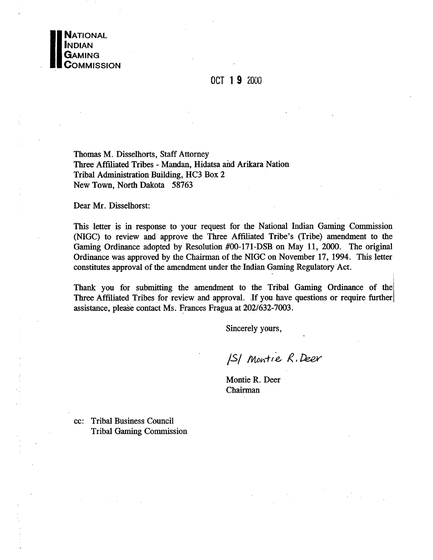

## OCT 19 2000

Thomas M. Disselhorts, Staff Attorney Three Affiliated Tribes - Mandan, Hidatsa and Arikara Nation Tribal Administration Building, HC3 Box 2 New Town, North Dakota 58763

Dear Mr. Disselhorst:

This letter is in response to your request for the National Indian Gaming Commission (NIGC) to review and approve the Three Affiliated Tribe's (Tribe) amendment to the Gaming Ordinance adopted by Resolution #00-171-DSB on May 11, 2000. The original Ordinance was approved by the Chairman of the NIGC on November 17, 1994. This letter constitutes approval of the amendment under the Indian Gaming Regulatory Act.

Thank you for submitting the amendment to the Tribal Gaming Ordinance of the Three Affiliated Tribes for review and approval. If you have questions or require further assistance, please contact Ms. Frances Fragua at 202/632-7003.

Sincerely yours,

ISI Montie R. Deer

Montie R. Deer Chairman

cc: Tribal Business Council **Tribal Gaming Commission**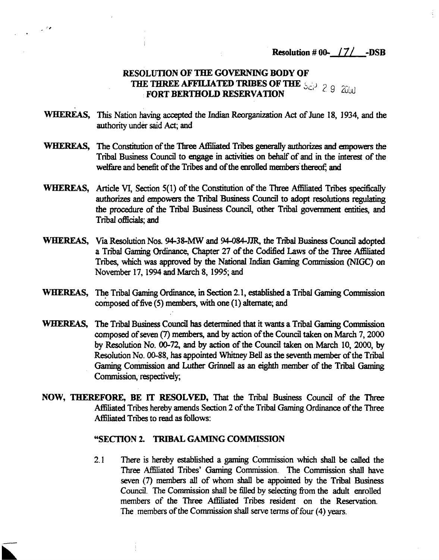**Resolution # 00- /7/ -DSB**

# **RESOLUTION OF TILE GOVERNING BODY OF filE THREE AFflLIATED TRIBES OF THI ;.j <sup>~</sup> -~ (9 FORT BERTHOLD RESERVATION U~i**

- **WHEREAS, This Nation having accepted the Indian Reorganization Act of June 18, 1934, and the authority under said Act; and**
- **WHEREAS, The Constitution of the Three Affiliated Tnl,es generally authorizes and empowers the Tribal Business Council to engage in activities on behalf of and in the interest of the**  $w$  **welfare** and **benefit** of the Tribes and of the enrolled members thereof; and
- **WHEREAS, Article VI, Section 5(1) of the Constitution of the Three Affiliated Tribes specifically authorizes and empowers the Tribal Business Council to adopt resolutions regulating the procedure of the Tribal Business Council, other Tribal government entities, and Tribal officials; and**
- **WHEREAS, Via Resolution Nos. 94-38-MW and 94-084-BR, the Tribal Business Council adopted <sup>a</sup> Tnl,al Gaming Ordinance, Chapter 27 of the Codified L2ws of the Three Affiliated Tribes, which was approved by the National Indian Gaming Commission (NIGC) on November 17, 1994 and March 8, 1995; and**
- **WHEREAS, The Tribal Gaming Ordinance, in Section 2.1, established <sup>a</sup> Tribal Gaming Commission composed offive (5) members, with one (1) alternate; and**
- **WHEREAS,** The Tribal Business Council has determined that it wants a Tribal Gaming Commission **composed of seven (7) members, and by action ofthe Council taken on March 7, 2000 by Resolution No. 00-72, and by action of the Council taken on March 10, 2000, by Resolution No. 00-88, has appointed \~itney Bell as the seventh member ofthe Tribal Gaming Commission and Luther Giinnell as an eighth member of the Tribal Gaming Commission, respectively,**
- **NOW, nJ1~REF0RE, BE iT RESOLVED, That the Tribal Business Council of the Three Affiliated Tribes hereby amends Section 2 ofthe Tribal Gaming Ordinance ofthe Three Affiliated Tribes to read as follows:**

#### **SECTION 2. TRIBAL GAMING COMMISSION**

**2.1 There is hereby established a gaming Commission which shall be called the Three Affiliated Tribes Gaming Commission. The Commission shall have seven (7) members all of whom shall be appointed by the Tribal Business Council. The Commission shall be filled by selecting from the adult enrolled members of the Three Affiliated Tribes resident on the Reservation. The members of the Commission shall serve terms of four (4) years.**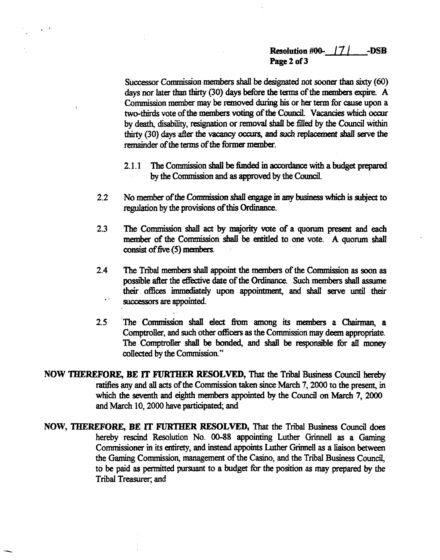### **Resohition #00. 17/ -DSB Page 2 of 3**

**SUccessor Commission members shall be designated not sooner than sixty (60) days nor later than thirty (30) days before the terms ofthe members ecpire. A Commission member may be removed duiing his or her term for cause upon <sup>a</sup> two-thirds vote ofthe members voting ofthe CounciL Vacancies which ocour by death, disability, resignation or removal shall be filled by the Council within thirty~ (30) days after the vacancy ocaus, and such replacement shall save the remainder** of the terms of the former member.

- **2.1.1 The Commission shall be funded in accordance with a budget prepared by the Commission and as approved by the Council.**
- **2.2 No member ofthe Commission shall engage in any business which is subject to regulation by the provisions ofthis Ordinance.**
- **2.3 The Commission shall act by majority vote of <sup>a</sup> quorum present and each member of the Commission shall be entitled to one vote. A quorum shall consist offive (5) members.**
- **2.4 The Tnl,al members shall appoint the members of the Commission as soon as possible after the effective date of the Ordinance. Such members shall assume their offices immediately upon appointment;, and shall serve until their successors are appointed.**
- **2.5 The Commission shall elect from among its members a Chairman, a Comptroller, and such other officers as the Commission may deem appropriate. The Comptroller shall be bonded, and shall be responsible for all money collected by the Commission.**
- **NOW ThEREFORE, BE iT FURTHER RESOLVED, That the Tribal Business Council hereby ratifies any and all acts of the Commission taken since March 7, 2000 to the present, in which the seventh and eighth members appointed by the Council on March 7, 2000 and March 10, 2000 have pathcipated and**
- **NOW, THEREFORE, BE iT FURTHER RESOLVED, That the Tnl,al Business Council does hereby rescind Resolution No. 00-88 appointing Luther Giinnell as a Gaming Commissioner in its entirety, and instead appoints Luther Giizmell as a liaison between**  $t$ he Gaming Commission, management of the Casino, and the Tribal Business Council, **to be paid as permitted pursuant to a budget for the position as may prepared by the Tribal TreasUrer and**